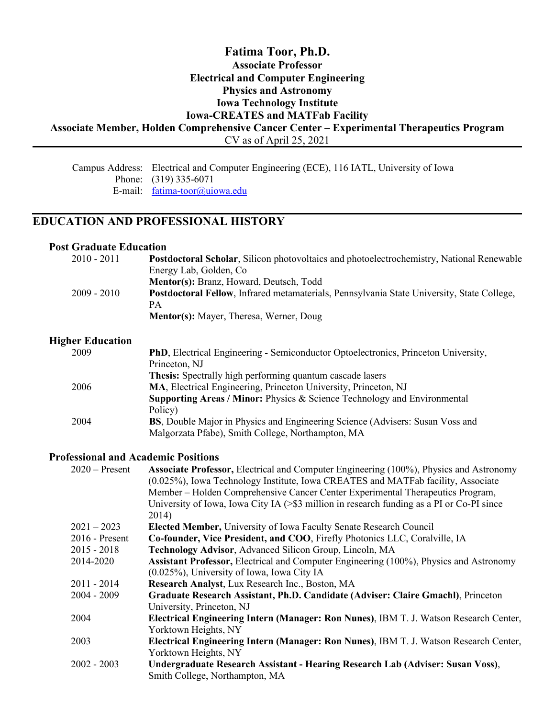## **Fatima Toor, Ph.D. Associate Professor Electrical and Computer Engineering Physics and Astronomy Iowa Technology Institute Iowa-CREATES and MATFab Facility Associate Member, Holden Comprehensive Cancer Center – Experimental Therapeutics Program** CV as of April 25, 2021

Campus Address: Electrical and Computer Engineering (ECE), 116 IATL, University of Iowa Phone: (319) 335-6071 E-mail: <u>[fatima-toor@uiowa.edu](mailto:fatima-toor@uiowa.edu)</u>

## **EDUCATION AND PROFESSIONAL HISTORY**

#### **Post Graduate Education**

| $2010 - 2011$ | <b>Postdoctoral Scholar, Silicon photovoltaics and photoelectrochemistry, National Renewable</b> |
|---------------|--------------------------------------------------------------------------------------------------|
|               | Energy Lab, Golden, Co.                                                                          |
|               | Mentor(s): Branz, Howard, Deutsch, Todd                                                          |
| $2009 - 2010$ | Postdoctoral Fellow, Infrared metamaterials, Pennsylvania State University, State College,       |
|               | PА                                                                                               |
|               | Mentor(s): Mayer, Theresa, Werner, Doug                                                          |

#### **Higher Education**

| 2009 | <b>PhD</b> , Electrical Engineering - Semiconductor Optoelectronics, Princeton University, |
|------|--------------------------------------------------------------------------------------------|
|      | Princeton, NJ                                                                              |
|      | <b>Thesis:</b> Spectrally high performing quantum cascade lasers                           |
| 2006 | MA, Electrical Engineering, Princeton University, Princeton, NJ                            |
|      | Supporting Areas / Minor: Physics & Science Technology and Environmental                   |
|      | Policy)                                                                                    |
| 2004 | BS, Double Major in Physics and Engineering Science (Advisers: Susan Voss and              |
|      | Malgorzata Pfabe), Smith College, Northampton, MA                                          |

#### **Professional and Academic Positions**

| <b>Associate Professor, Electrical and Computer Engineering (100%), Physics and Astronomy</b> |
|-----------------------------------------------------------------------------------------------|
| (0.025%), Iowa Technology Institute, Iowa CREATES and MATFab facility, Associate              |
| Member – Holden Comprehensive Cancer Center Experimental Therapeutics Program,                |
| University of Iowa, Iowa City IA $(>\$ \$3 million in research funding as a PI or Co-PI since |
| 2014)                                                                                         |
| Elected Member, University of Iowa Faculty Senate Research Council                            |
| Co-founder, Vice President, and COO, Firefly Photonics LLC, Coralville, IA                    |
| Technology Advisor, Advanced Silicon Group, Lincoln, MA                                       |
| <b>Assistant Professor, Electrical and Computer Engineering (100%), Physics and Astronomy</b> |
| $(0.025\%)$ , University of Iowa, Iowa City IA                                                |
| Research Analyst, Lux Research Inc., Boston, MA                                               |
| Graduate Research Assistant, Ph.D. Candidate (Adviser: Claire Gmachl), Princeton              |
| University, Princeton, NJ                                                                     |
| Electrical Engineering Intern (Manager: Ron Nunes), IBM T. J. Watson Research Center,         |
| Yorktown Heights, NY                                                                          |
| Electrical Engineering Intern (Manager: Ron Nunes), IBM T. J. Watson Research Center,         |
| Yorktown Heights, NY                                                                          |
| Undergraduate Research Assistant - Hearing Research Lab (Adviser: Susan Voss),                |
| Smith College, Northampton, MA                                                                |
|                                                                                               |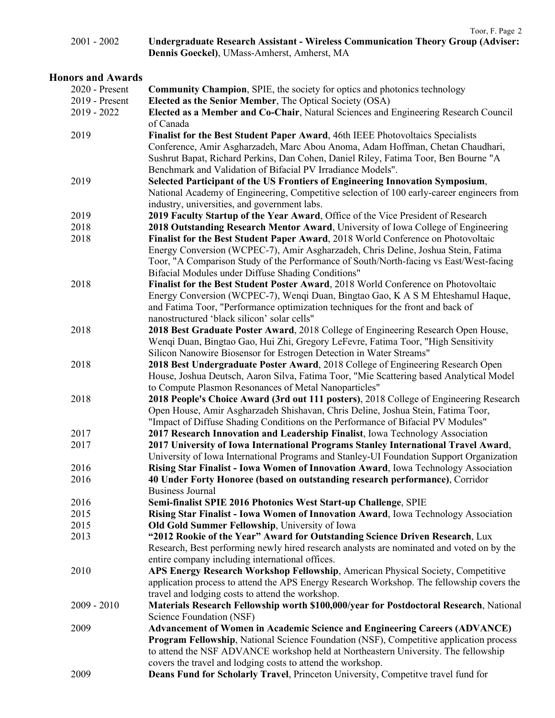|             | Toor, F. Page 2                                                                         |
|-------------|-----------------------------------------------------------------------------------------|
| 2001 - 2002 | <b>Undergraduate Research Assistant - Wireless Communication Theory Group (Adviser:</b> |
|             | Dennis Goeckel), UMass-Amherst, Amherst, MA                                             |

## **Honors and Awards**

| 2020 - Present | <b>Community Champion, SPIE, the society for optics and photonics technology</b>                                                                                                                                                                                                                                       |
|----------------|------------------------------------------------------------------------------------------------------------------------------------------------------------------------------------------------------------------------------------------------------------------------------------------------------------------------|
| 2019 - Present | Elected as the Senior Member, The Optical Society (OSA)                                                                                                                                                                                                                                                                |
| $2019 - 2022$  | Elected as a Member and Co-Chair, Natural Sciences and Engineering Research Council<br>of Canada                                                                                                                                                                                                                       |
| 2019           | Finalist for the Best Student Paper Award, 46th IEEE Photovoltaics Specialists<br>Conference, Amir Asgharzadeh, Marc Abou Anoma, Adam Hoffman, Chetan Chaudhari,<br>Sushrut Bapat, Richard Perkins, Dan Cohen, Daniel Riley, Fatima Toor, Ben Bourne "A<br>Benchmark and Validation of Bifacial PV Irradiance Models". |
| 2019           | Selected Participant of the US Frontiers of Engineering Innovation Symposium,                                                                                                                                                                                                                                          |
|                | National Academy of Engineering, Competitive selection of 100 early-career engineers from<br>industry, universities, and government labs.                                                                                                                                                                              |
| 2019           | 2019 Faculty Startup of the Year Award, Office of the Vice President of Research                                                                                                                                                                                                                                       |
| 2018           | 2018 Outstanding Research Mentor Award, University of Iowa College of Engineering                                                                                                                                                                                                                                      |
| 2018           | Finalist for the Best Student Paper Award, 2018 World Conference on Photovoltaic<br>Energy Conversion (WCPEC-7), Amir Asgharzadeh, Chris Deline, Joshua Stein, Fatima<br>Toor, "A Comparison Study of the Performance of South/North-facing vs East/West-facing<br>Bifacial Modules under Diffuse Shading Conditions"  |
| 2018           | Finalist for the Best Student Poster Award, 2018 World Conference on Photovoltaic<br>Energy Conversion (WCPEC-7), Wenqi Duan, Bingtao Gao, KAS M Ehteshamul Haque,<br>and Fatima Toor, "Performance optimization techniques for the front and back of<br>nanostructured 'black silicon' solar cells"                   |
| 2018           | 2018 Best Graduate Poster Award, 2018 College of Engineering Research Open House,                                                                                                                                                                                                                                      |
|                | Wenqi Duan, Bingtao Gao, Hui Zhi, Gregory LeFevre, Fatima Toor, "High Sensitivity<br>Silicon Nanowire Biosensor for Estrogen Detection in Water Streams"                                                                                                                                                               |
| 2018           | 2018 Best Undergraduate Poster Award, 2018 College of Engineering Research Open                                                                                                                                                                                                                                        |
|                | House, Joshua Deutsch, Aaron Silva, Fatima Toor, "Mie Scattering based Analytical Model                                                                                                                                                                                                                                |
|                | to Compute Plasmon Resonances of Metal Nanoparticles"                                                                                                                                                                                                                                                                  |
| 2018           | 2018 People's Choice Award (3rd out 111 posters), 2018 College of Engineering Research                                                                                                                                                                                                                                 |
|                | Open House, Amir Asgharzadeh Shishavan, Chris Deline, Joshua Stein, Fatima Toor,                                                                                                                                                                                                                                       |
|                | "Impact of Diffuse Shading Conditions on the Performance of Bifacial PV Modules"                                                                                                                                                                                                                                       |
| 2017           | 2017 Research Innovation and Leadership Finalist, Iowa Technology Association                                                                                                                                                                                                                                          |
| 2017           | 2017 University of Iowa International Programs Stanley International Travel Award,<br>University of Iowa International Programs and Stanley-UI Foundation Support Organization                                                                                                                                         |
| 2016           | Rising Star Finalist - Iowa Women of Innovation Award, Iowa Technology Association                                                                                                                                                                                                                                     |
| 2016           | 40 Under Forty Honoree (based on outstanding research performance), Corridor                                                                                                                                                                                                                                           |
|                | Business Journal                                                                                                                                                                                                                                                                                                       |
| 2016           | Semi-finalist SPIE 2016 Photonics West Start-up Challenge, SPIE                                                                                                                                                                                                                                                        |
| 2015           | Rising Star Finalist - Iowa Women of Innovation Award, Iowa Technology Association                                                                                                                                                                                                                                     |
| 2015           | Old Gold Summer Fellowship, University of Iowa                                                                                                                                                                                                                                                                         |
| 2013           | "2012 Rookie of the Year" Award for Outstanding Science Driven Research, Lux                                                                                                                                                                                                                                           |
|                | Research, Best performing newly hired research analysts are nominated and voted on by the<br>entire company including international offices.                                                                                                                                                                           |
| 2010           | APS Energy Research Workshop Fellowship, American Physical Society, Competitive                                                                                                                                                                                                                                        |
|                | application process to attend the APS Energy Research Workshop. The fellowship covers the                                                                                                                                                                                                                              |
|                | travel and lodging costs to attend the workshop.                                                                                                                                                                                                                                                                       |
|                |                                                                                                                                                                                                                                                                                                                        |
| $2009 - 2010$  | Materials Research Fellowship worth \$100,000/year for Postdoctoral Research, National                                                                                                                                                                                                                                 |
|                | Science Foundation (NSF)                                                                                                                                                                                                                                                                                               |
| 2009           | <b>Advancement of Women in Academic Science and Engineering Careers (ADVANCE)</b>                                                                                                                                                                                                                                      |
|                | <b>Program Fellowship, National Science Foundation (NSF), Competitive application process</b><br>to attend the NSF ADVANCE workshop held at Northeastern University. The fellowship                                                                                                                                    |
|                | covers the travel and lodging costs to attend the workshop.                                                                                                                                                                                                                                                            |
| 2009           | Deans Fund for Scholarly Travel, Princeton University, Competitve travel fund for                                                                                                                                                                                                                                      |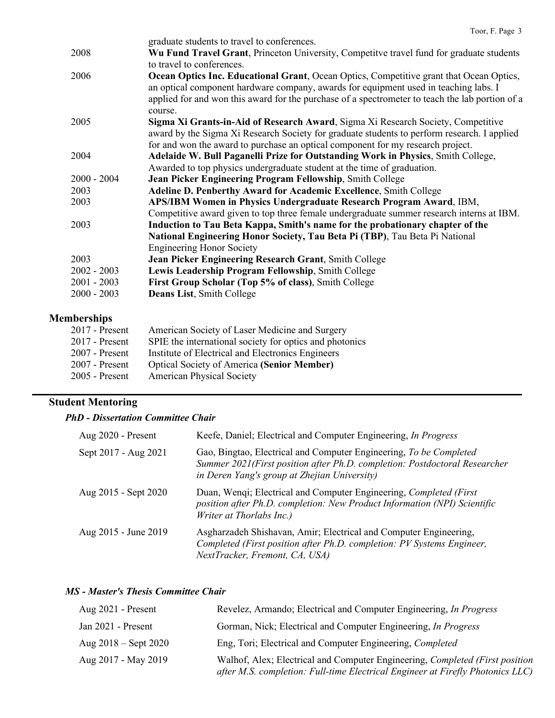|               | graduate students to travel to conferences.                                                                                                                                                                                                                                                   |
|---------------|-----------------------------------------------------------------------------------------------------------------------------------------------------------------------------------------------------------------------------------------------------------------------------------------------|
| 2008          | Wu Fund Travel Grant, Princeton University, Competitve travel fund for graduate students                                                                                                                                                                                                      |
|               | to travel to conferences.                                                                                                                                                                                                                                                                     |
| 2006          | Ocean Optics Inc. Educational Grant, Ocean Optics, Competitive grant that Ocean Optics,<br>an optical component hardware company, awards for equipment used in teaching labs. I<br>applied for and won this award for the purchase of a spectrometer to teach the lab portion of a<br>course. |
| 2005          | Sigma Xi Grants-in-Aid of Research Award, Sigma Xi Research Society, Competitive                                                                                                                                                                                                              |
|               | award by the Sigma Xi Research Society for graduate students to perform research. I applied                                                                                                                                                                                                   |
|               | for and won the award to purchase an optical component for my research project.                                                                                                                                                                                                               |
| 2004          | Adelaide W. Bull Paganelli Prize for Outstanding Work in Physics, Smith College,                                                                                                                                                                                                              |
|               | Awarded to top physics undergraduate student at the time of graduation.                                                                                                                                                                                                                       |
| $2000 - 2004$ | Jean Picker Engineering Program Fellowship, Smith College                                                                                                                                                                                                                                     |
| 2003          | Adeline D. Penberthy Award for Academic Excellence, Smith College                                                                                                                                                                                                                             |
| 2003          | APS/IBM Women in Physics Undergraduate Research Program Award, IBM,                                                                                                                                                                                                                           |
|               | Competitive award given to top three female undergraduate summer research interns at IBM.                                                                                                                                                                                                     |
| 2003          | Induction to Tau Beta Kappa, Smith's name for the probationary chapter of the                                                                                                                                                                                                                 |
|               | National Engineering Honor Society, Tau Beta Pi (TBP), Tau Beta Pi National                                                                                                                                                                                                                   |
|               | <b>Engineering Honor Society</b>                                                                                                                                                                                                                                                              |
| 2003          | Jean Picker Engineering Research Grant, Smith College                                                                                                                                                                                                                                         |
| $2002 - 2003$ | Lewis Leadership Program Fellowship, Smith College                                                                                                                                                                                                                                            |
| $2001 - 2003$ | First Group Scholar (Top 5% of class), Smith College                                                                                                                                                                                                                                          |
| $2000 - 2003$ | Deans List, Smith College                                                                                                                                                                                                                                                                     |
|               |                                                                                                                                                                                                                                                                                               |
|               |                                                                                                                                                                                                                                                                                               |

## **Memberships**

| $2017$ - Present | American Society of Laser Medicine and Surgery          |
|------------------|---------------------------------------------------------|
| $2017$ - Present | SPIE the international society for optics and photonics |
| $2007$ - Present | Institute of Electrical and Electronics Engineers       |
| $2007$ - Present | <b>Optical Society of America (Senior Member)</b>       |
| $2005$ - Present | <b>American Physical Society</b>                        |

# **Student Mentoring**

## *PhD - Dissertation Committee Chair*

| Aug 2020 - Present   | Keefe, Daniel; Electrical and Computer Engineering, In Progress                                                                                                                                  |
|----------------------|--------------------------------------------------------------------------------------------------------------------------------------------------------------------------------------------------|
| Sept 2017 - Aug 2021 | Gao, Bingtao, Electrical and Computer Engineering, To be Completed<br>Summer 2021(First position after Ph.D. completion: Postdoctoral Researcher<br>in Deren Yang's group at Zhejian University) |
| Aug 2015 - Sept 2020 | Duan, Wenqi; Electrical and Computer Engineering, Completed (First)<br>position after Ph.D. completion: New Product Information (NPI) Scientific<br>Writer at Thorlabs Inc.)                     |
| Aug 2015 - June 2019 | Asgharzadeh Shishavan, Amir; Electrical and Computer Engineering,<br>Completed (First position after Ph.D. completion: PV Systems Engineer,<br>NextTracker, Fremont, CA, USA)                    |

## *MS - Master's Thesis Committee Chair*

| Aug $2021$ - Present     | Revelez, Armando; Electrical and Computer Engineering, In Progress                                                                                             |
|--------------------------|----------------------------------------------------------------------------------------------------------------------------------------------------------------|
| Jan 2021 - Present       | Gorman, Nick; Electrical and Computer Engineering, In Progress                                                                                                 |
| Aug $2018 -$ Sept $2020$ | Eng, Tori; Electrical and Computer Engineering, Completed                                                                                                      |
| Aug 2017 - May 2019      | Walhof, Alex; Electrical and Computer Engineering, Completed (First position<br>after M.S. completion: Full-time Electrical Engineer at Firefly Photonics LLC) |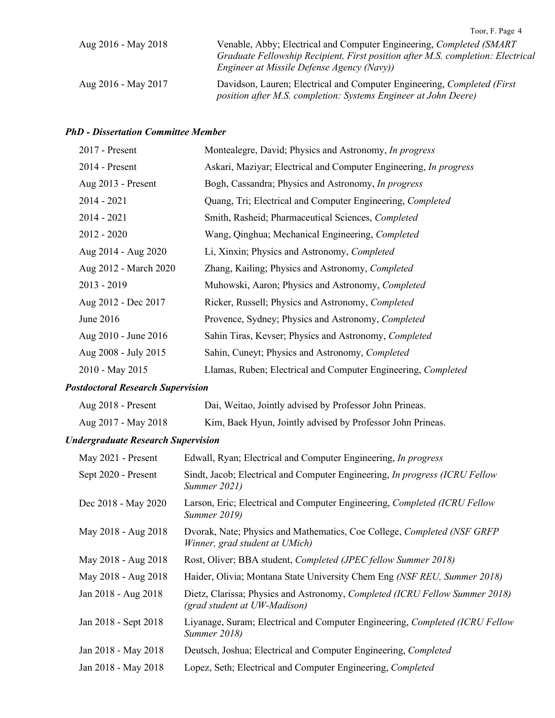|                     | Toor, F. Page 4                                                                                                                                                                                        |
|---------------------|--------------------------------------------------------------------------------------------------------------------------------------------------------------------------------------------------------|
| Aug 2016 - May 2018 | Venable, Abby; Electrical and Computer Engineering, Completed (SMART)<br>Graduate Fellowship Recipient, First position after M.S. completion: Electrical<br>Engineer at Missile Defense Agency (Navy)) |
| Aug 2016 - May 2017 | Davidson, Lauren; Electrical and Computer Engineering, Completed (First)<br>position after M.S. completion: Systems Engineer at John Deere)                                                            |

#### *PhD - Dissertation Committee Member*

| 2017 - Present                            | Montealegre, David; Physics and Astronomy, In progress                                                    |
|-------------------------------------------|-----------------------------------------------------------------------------------------------------------|
| 2014 - Present                            | Askari, Maziyar; Electrical and Computer Engineering, In progress                                         |
| Aug 2013 - Present                        | Bogh, Cassandra; Physics and Astronomy, In progress                                                       |
| $2014 - 2021$                             | Quang, Tri; Electrical and Computer Engineering, Completed                                                |
| $2014 - 2021$                             | Smith, Rasheid; Pharmaceutical Sciences, Completed                                                        |
| $2012 - 2020$                             | Wang, Qinghua; Mechanical Engineering, Completed                                                          |
| Aug 2014 - Aug 2020                       | Li, Xinxin; Physics and Astronomy, Completed                                                              |
| Aug 2012 - March 2020                     | Zhang, Kailing; Physics and Astronomy, Completed                                                          |
| $2013 - 2019$                             | Muhowski, Aaron; Physics and Astronomy, Completed                                                         |
| Aug 2012 - Dec 2017                       | Ricker, Russell; Physics and Astronomy, Completed                                                         |
| June 2016                                 | Provence, Sydney; Physics and Astronomy, Completed                                                        |
| Aug 2010 - June 2016                      | Sahin Tiras, Kevser; Physics and Astronomy, Completed                                                     |
| Aug 2008 - July 2015                      | Sahin, Cuneyt; Physics and Astronomy, Completed                                                           |
| 2010 - May 2015                           | Llamas, Ruben; Electrical and Computer Engineering, Completed                                             |
| <b>Postdoctoral Research Supervision</b>  |                                                                                                           |
| Aug 2018 - Present                        | Dai, Weitao, Jointly advised by Professor John Prineas.                                                   |
| Aug 2017 - May 2018                       | Kim, Baek Hyun, Jointly advised by Professor John Prineas.                                                |
| <b>Undergraduate Research Supervision</b> |                                                                                                           |
| May 2021 - Present                        | Edwall, Ryan; Electrical and Computer Engineering, In progress                                            |
| Sept 2020 - Present                       | Sindt, Jacob; Electrical and Computer Engineering, In progress (ICRU Fellow<br>Summer 2021)               |
| Dec 2018 - May 2020                       | Larson, Eric; Electrical and Computer Engineering, Completed (ICRU Fellow<br><b>Summer 2019)</b>          |
| May 2018 - Aug 2018                       | Dvorak, Nate; Physics and Mathematics, Coe College, Completed (NSF GRFP<br>Winner, grad student at UMich) |
| May 2018 - Aug 2018                       | Rost, Oliver; BBA student, Completed (JPEC fellow Summer 2018)                                            |
| May 2018 - Aug 2018                       | Haider, Olivia; Montana State University Chem Eng (NSF REU, Summer 2018)                                  |

| Jan 2018 - Aug 2018  | Dietz, Clarissa; Physics and Astronomy, Completed (ICRU Fellow Summer 2018)<br>(grad student at UW-Madison) |
|----------------------|-------------------------------------------------------------------------------------------------------------|
| Jan 2018 - Sept 2018 | Liyanage, Suram; Electrical and Computer Engineering, Completed (ICRU Fellow<br>Summer 2018)                |

- Jan 2018 May 2018 Deutsch, Joshua; Electrical and Computer Engineering, *Completed*
- Jan 2018 May 2018 Lopez, Seth; Electrical and Computer Engineering, *Completed*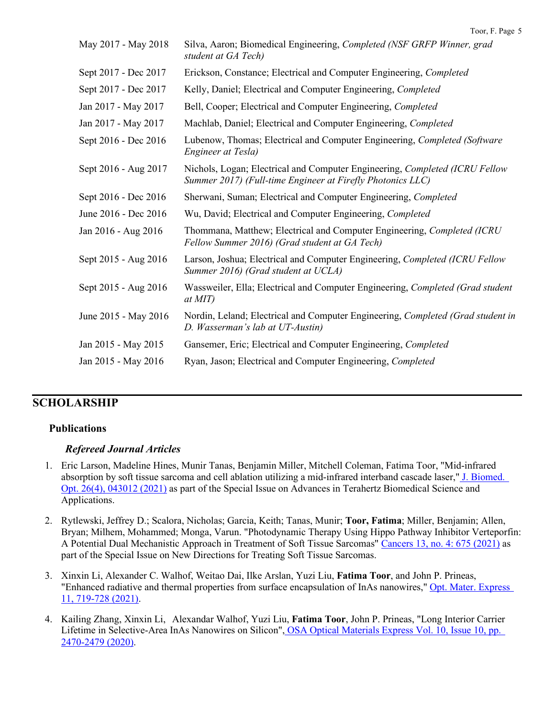| May 2017 - May 2018  | Silva, Aaron; Biomedical Engineering, Completed (NSF GRFP Winner, grad<br>student at GA Tech)                                             |
|----------------------|-------------------------------------------------------------------------------------------------------------------------------------------|
|                      |                                                                                                                                           |
| Sept 2017 - Dec 2017 | Erickson, Constance; Electrical and Computer Engineering, Completed                                                                       |
| Sept 2017 - Dec 2017 | Kelly, Daniel; Electrical and Computer Engineering, Completed                                                                             |
| Jan 2017 - May 2017  | Bell, Cooper; Electrical and Computer Engineering, Completed                                                                              |
| Jan 2017 - May 2017  | Machlab, Daniel; Electrical and Computer Engineering, Completed                                                                           |
| Sept 2016 - Dec 2016 | Lubenow, Thomas; Electrical and Computer Engineering, Completed (Software<br>Engineer at Tesla)                                           |
| Sept 2016 - Aug 2017 | Nichols, Logan; Electrical and Computer Engineering, Completed (ICRU Fellow<br>Summer 2017) (Full-time Engineer at Firefly Photonics LLC) |
| Sept 2016 - Dec 2016 | Sherwani, Suman; Electrical and Computer Engineering, Completed                                                                           |
| June 2016 - Dec 2016 | Wu, David; Electrical and Computer Engineering, Completed                                                                                 |
| Jan 2016 - Aug 2016  | Thommana, Matthew; Electrical and Computer Engineering, Completed (ICRU<br>Fellow Summer 2016) (Grad student at GA Tech)                  |
| Sept 2015 - Aug 2016 | Larson, Joshua; Electrical and Computer Engineering, Completed (ICRU Fellow<br>Summer 2016) (Grad student at UCLA)                        |
| Sept 2015 - Aug 2016 | Wassweiler, Ella; Electrical and Computer Engineering, Completed (Grad student<br>at MIT)                                                 |
| June 2015 - May 2016 | Nordin, Leland; Electrical and Computer Engineering, Completed (Grad student in<br>D. Wasserman's lab at UT-Austin)                       |
| Jan 2015 - May 2015  | Gansemer, Eric; Electrical and Computer Engineering, Completed                                                                            |
| Jan 2015 - May 2016  | Ryan, Jason; Electrical and Computer Engineering, Completed                                                                               |
|                      |                                                                                                                                           |

## **SCHOLARSHIP**

### **Publications**

### *Refereed Journal Articles*

- 1. Eric Larson, Madeline Hines, Munir Tanas, Benjamin Miller, Mitchell Coleman, Fatima Toor, "Mid-infrared absorption by soft tissue sarcoma and cell ablation utilizing a mid-infrared interband cascade laser," [J. Biomed.](https://www.spiedigitallibrary.org/journals/journal-of-biomedical-optics/volume-26/issue-04/043012/Mid-infrared-absorption-by-soft-tissue-sarcoma-and-cell-ablation/10.1117/1.JBO.26.4.043012.full?SSO=1)  [Opt. 26\(4\), 043012 \(2021\)](https://www.spiedigitallibrary.org/journals/journal-of-biomedical-optics/volume-26/issue-04/043012/Mid-infrared-absorption-by-soft-tissue-sarcoma-and-cell-ablation/10.1117/1.JBO.26.4.043012.full?SSO=1) as part of the Special Issue on Advances in Terahertz Biomedical Science and Applications.
- 2. Rytlewski, Jeffrey D.; Scalora, Nicholas; Garcia, Keith; Tanas, Munir; **Toor, Fatima**; Miller, Benjamin; Allen, Bryan; Milhem, Mohammed; Monga, Varun. "Photodynamic Therapy Using Hippo Pathway Inhibitor Verteporfin: A Potential Dual Mechanistic Approach in Treatment of Soft Tissue Sarcomas" [Cancers 13, no. 4: 675 \(2021\)](https://doi.org/10.3390/cancers13040675) as part of the Special Issue on New Directions for Treating Soft Tissue Sarcomas.
- 3. Xinxin Li, Alexander C. Walhof, Weitao Dai, Ilke Arslan, Yuzi Liu, **Fatima Toor**, and John P. Prineas, "Enhanced radiative and thermal properties from surface encapsulation of InAs nanowires," [Opt. Mater. Express](https://www.osapublishing.org/ome/fulltext.cfm?uri=ome-11-3-719&id=447631)  [11, 719-728 \(2021\).](https://www.osapublishing.org/ome/fulltext.cfm?uri=ome-11-3-719&id=447631)
- 4. Kailing Zhang, Xinxin Li, Alexandar Walhof, Yuzi Liu, **Fatima Toor**, John P. Prineas, "Long Interior Carrier Lifetime in Selective-Area InAs Nanowires on Silicon", OSA [Optical Materials Express Vol. 10, Issue 10, pp.](https://www.osapublishing.org/ome/abstract.cfm?uri=ome-10-10-2470)  [2470-2479 \(2020\).](https://www.osapublishing.org/ome/abstract.cfm?uri=ome-10-10-2470)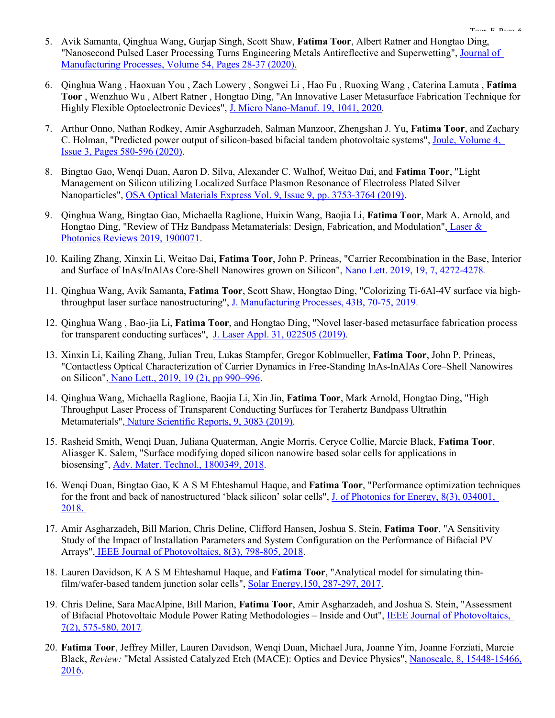- 5. Avik Samanta, Qinghua Wang, Gurjap Singh, Scott Shaw, **Fatima Toor**, Albert Ratner and Hongtao Ding, "Nanosecond Pulsed Laser Processing Turns Engineering Metals Antireflective and Superwetting", [Journal of](https://www.sciencedirect.com/science/article/pii/S1526612520301092?via%3Dihub)  Manufacturing Processes, [Volume 54, Pages 28-37 \(2020\).](https://www.sciencedirect.com/science/article/pii/S1526612520301092?via%3Dihub)
- 6. Qinghua Wang , Haoxuan You , Zach Lowery , Songwei Li , Hao Fu , Ruoxing Wang , Caterina Lamuta , **Fatima Toor** , Wenzhuo Wu , Albert Ratner , Hongtao Ding, "An Innovative Laser Metasurface Fabrication Technique for Highly Flexible Optoelectronic Devices", [J. Micro Nano-Manuf. 19, 1041, 2020.](http://https/doi.org/10.1115/1.4046032)
- 7. Arthur Onno, Nathan Rodkey, Amir Asgharzadeh, Salman Manzoor, Zhengshan J. Yu, **Fatima Toor**, and Zachary C. Holman, "Predicted power output of silicon-based bifacial tandem photovoltaic systems", Joule, [Volume 4,](https://www.sciencedirect.com/science/article/abs/pii/S2542435119306324)  [Issue 3, Pages 580-596 \(2020\).](https://www.sciencedirect.com/science/article/abs/pii/S2542435119306324)
- 8. Bingtao Gao, Wenqi Duan, Aaron D. Silva, Alexander C. Walhof, Weitao Dai, and **Fatima Toor**, "Light Management on Silicon utilizing Localized Surface Plasmon Resonance of Electroless Plated Silver Nanoparticles", OSA Optical Materials Express [Vol. 9, Issue 9, pp. 3753-3764 \(2019\).](https://doi.org/10.1364/OME.9.003753)
- 9. Qinghua Wang, Bingtao Gao, Michaella Raglione, Huixin Wang, Baojia Li, **Fatima Toor**, Mark A. Arnold, and Hongtao Ding, "Review of THz Bandpass Metamaterials: Design, Fabrication, and Modulation", [Laser &](https://onlinelibrary.wiley.com/action/showCitFormats?doi=10.1002%2Flpor.201900071)  [Photonics Reviews](https://onlinelibrary.wiley.com/action/showCitFormats?doi=10.1002%2Flpor.201900071) 2019, 1900071.
- 10. Kailing Zhang, Xinxin Li, Weitao Dai, **Fatima Toor**, John P. Prineas, "Carrier Recombination in the Base, Interior and Surface of InAs/InAlAs Core-Shell Nanowires grown on Silicon", [Nano Lett. 2019, 19, 7, 4272-4278](https://pubs.acs.org/doi/abs/10.1021/acs.nanolett.9b00517)*.*
- 11. Qinghua Wang, Avik Samanta, **Fatima Toor**, Scott Shaw, Hongtao Ding, "Colorizing Ti-6Al-4V surface via high-throughput laser surface nanostructuring", [J. Manufacturing Processes, 43B, 70-75, 2019.](https://doi.org/10.1016/j.jmapro.2019.03.050)
- 12. Qinghua Wang , Bao-jia Li, **Fatima Toor**, and Hongtao Ding, "Novel laser-based metasurface fabrication process for transparent conducting surfaces", [J. Laser Appl. 31, 022505 \(2019\).](https://doi.org/10.2351/1.5096085)
- 13. Xinxin Li, Kailing Zhang, Julian Treu, Lukas Stampfer, Gregor Koblmueller, **Fatima Toor**, John P. Prineas, "Contactless Optical Characterization of Carrier Dynamics in Free-Standing InAs-InAlAs Core–Shell Nanowires on Silicon", [Nano Lett., 2019, 19 \(2\), pp 990–996.](https://pubs.acs.org/doi/10.1021/acs.nanolett.8b04226)
- 14. Qinghua Wang, Michaella Raglione, Baojia Li, Xin Jin, **Fatima Toor**, Mark Arnold, Hongtao Ding, "High Throughput Laser Process of Transparent Conducting Surfaces for Terahertz Bandpass Ultrathin Metamaterials", [Nature Scientific Reports,](https://www.nature.com/articles/s41598-019-38949-1) 9, 3083 (2019).
- 15. Rasheid Smith, Wenqi Duan, Juliana Quaterman, Angie Morris, Ceryce Collie, Marcie Black, **Fatima Toor**, Aliasger K. Salem, "Surface modifying doped silicon nanowire based solar cells for applications in biosensing", [Adv. Mater. Technol., 1800349, 2018.](https://doi.org/10.1002/admt.201800349)
- 16. Wenqi Duan, Bingtao Gao, K A S M Ehteshamul Haque, and **Fatima Toor**, "Performance optimization techniques for the front and back of nanostructured 'black silicon' solar cells", [J. of Photonics for Energy, 8\(3\), 034001,](https://doi.org/10.1117/1.JPE.8.034001)  [2018.](https://doi.org/10.1117/1.JPE.8.034001)
- 17. Amir Asgharzadeh, Bill Marion, Chris Deline, Clifford Hansen, Joshua S. Stein, **Fatima Toor**, "A Sensitivity Study of the Impact of Installation Parameters and System Configuration on the Performance of Bifacial PV Arrays", [IEEE Journal of Photovoltaics, 8\(3\), 798-805, 2018.](https://ieeexplore.ieee.org/document/8340958/?arnumber=8340958&source=authoralert&pubid=ra-577dc9f623862778&ct=1&title=Share&pco=tbxnj-1.0)
- 18. Lauren Davidson, K A S M Ehteshamul Haque, and **Fatima Toor**, "Analytical model for simulating thinfilm/wafer-based tandem junction solar cells", [Solar Energy,150, 287-297, 2017.](http://www.sciencedirect.com/science/article/pii/S0038092X17303444)
- 19. Chris Deline, Sara MacAlpine, Bill Marion, **Fatima Toor**, Amir Asgharzadeh, and Joshua S. Stein, "Assessment of Bifacial Photovoltaic Module Power Rating Methodologies – Inside and Out", [IEEE Journal of Photovoltaics,](http://ieeexplore.ieee.org/abstract/document/7835135/)  [7\(2\), 575-580,](http://ieeexplore.ieee.org/abstract/document/7835135/) 2017*.*
- 20. **Fatima Toor**, Jeffrey Miller, Lauren Davidson, Wenqi Duan, Michael Jura, Joanne Yim, Joanne Forziati, Marcie Black, *Review:* "Metal Assisted Catalyzed Etch (MACE): Optics and Device Physics", [Nanoscale, 8, 15448-15466,](http://dx.doi.org/10.1039/C6NR04506E)  [2016.](http://dx.doi.org/10.1039/C6NR04506E)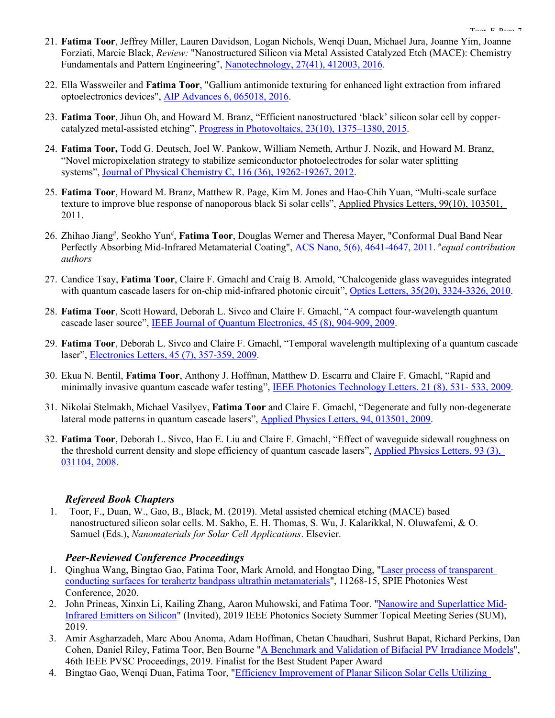- 21. **Fatima Toor**, Jeffrey Miller, Lauren Davidson, Logan Nichols, Wenqi Duan, Michael Jura, Joanne Yim, Joanne Forziati, Marcie Black, *Review:* "Nanostructured Silicon via Metal Assisted Catalyzed Etch (MACE): Chemistry Fundamentals and Pattern Engineering", [Nanotechnology, 27\(41\), 412003, 2016](http://iopscience.iop.org/article/10.1088/0957-4484/27/41/412003/meta;jsessionid=CFEF3D03F0CCAA8879475FD64D892780.c5.iopscience.cld.iop.org)*.*
- 22. Ella Wassweiler and **Fatima Toor**, "Gallium antimonide texturing for enhanced light extraction from infrared optoelectronics devices", [AIP Advances 6, 065018, 2016.](http://scitation.aip.org/content/aip/journal/adva/6/6/10.1063/1.4954766)
- 23. **Fatima Toor**, Jihun Oh, and Howard M. Branz, "Efficient nanostructured 'black' silicon solar cell by coppercatalyzed metal-assisted etching", [Progress in Photovoltaics,](http://onlinelibrary.wiley.com/doi/10.1002/pip.2562/abstract) 23(10), 1375–1380, 2015.
- 24. **Fatima Toor,** Todd G. Deutsch, Joel W. Pankow, William Nemeth, Arthur J. Nozik, and Howard M. Branz, "Novel micropixelation strategy to stabilize semiconductor photoelectrodes for solar water splitting systems", Journal [of Physical Chemistry C, 116 \(36\), 19262-19267, 2012.](http://pubs.acs.org/doi/abs/10.1021/jp303358m)
- 25. **Fatima Toor**, Howard M. Branz, Matthew R. Page, Kim M. Jones and Hao-Chih Yuan, "Multi-scale surface texture to improve blue response of nanoporous black Si solar cells", [Applied Physics Letters,](http://scitation.aip.org/content/aip/journal/apl/99/10/10.1063/1.3636105) 99(10), 103501, [2011.](http://scitation.aip.org/content/aip/journal/apl/99/10/10.1063/1.3636105)
- 26. Zhihao Jiang<sup>#</sup>, Seokho Yun<sup>#</sup>, **Fatima Toor**, Douglas Werner and Theresa Mayer, "Conformal Dual Band Near Perfectly Absorbing Mid-Infrared Metamaterial Coating", [ACS Nano, 5\(6\), 4641-4647, 2011.](http://pubs.acs.org/doi/abs/10.1021/nn2004603) <sup>#</sup>equal contribution *authors*
- 27. Candice Tsay, **Fatima Toor**, Claire F. Gmachl and Craig B. Arnold, "Chalcogenide glass waveguides integrated with quantum cascade lasers for on-chip mid-infrared photonic circuit", [Optics Letters, 35\(20\), 3324-3326, 2010.](http://dx.doi.org/10.1364/OL.35.003324)
- 28. **Fatima Toor**, Scott Howard, Deborah L. Sivco and Claire F. Gmachl, "A compact four-wavelength quantum cascade laser source", [IEEE Journal of Quantum Electronics, 45 \(8\), 904-909, 2009.](http://ieeexplore.ieee.org/xpls/icp.jsp?arnumber=5153549)
- 29. **Fatima Toor**, Deborah L. Sivco and Claire F. Gmachl, "Temporal wavelength multiplexing of a quantum cascade laser", [Electronics Letters, 45 \(7\), 357-359, 2009.](http://ieeexplore.ieee.org/xpls/icp.jsp?arnumber=5012481)
- 30. Ekua N. Bentil, **Fatima Toor**, Anthony J. Hoffman, Matthew D. Escarra and Claire F. Gmachl, "Rapid and minimally invasive quantum cascade wafer testing", [IEEE Photonics Technology Letters, 21 \(8\), 531-](http://ieeexplore.ieee.org/xpls/icp.jsp?arnumber=4773206) 533, 2009.
- 31. Nikolai Stelmakh, Michael Vasilyev, **Fatima Toor** and Claire F. Gmachl, "Degenerate and fully non-degenerate lateral mode patterns in quantum cascade lasers", [Applied Physics Letters, 94, 013501, 2009.](http://scitation.aip.org/content/aip/journal/apl/94/1/10.1063/1.3058768)
- 32. **Fatima Toor**, Deborah L. Sivco, Hao E. Liu and Claire F. Gmachl, "Effect of waveguide sidewall roughness on the threshold current density and slope efficiency of quantum cascade lasers", Applied Physics Letters, 93 (3), [031104, 2008.](http://scitation.aip.org/content/aip/journal/apl/93/3/10.1063/1.2962984)

#### *Refereed Book Chapters*

1. Toor, F., Duan, W., Gao, B., Black, M. (2019). Metal assisted chemical etching (MACE) based nanostructured silicon solar cells. M. Sakho, E. H. Thomas, S. Wu, J. Kalarikkal, N. Oluwafemi, & O. Samuel (Eds.), *Nanomaterials for Solar Cell Applications*. Elsevier.

#### *Peer-Reviewed Conference Proceedings*

- 1. Qinghua Wang, Bingtao Gao, Fatima Toor, Mark Arnold, and Hongtao Ding, ["Laser process of transparent](https://doi.org/10.1117/12.2544054)  [conducting surfaces for terahertz bandpass ultrathin metamaterials"](https://doi.org/10.1117/12.2544054), 11268-15, SPIE Photonics West Conference, 2020.
- 2. John Prineas, Xinxin Li, Kailing Zhang, Aaron Muhowski, and Fatima Toor. ["Nanowire and Superlattice Mid-](https://ieeexplore.ieee.org/abstract/document/8794925)[Infrared Emitters on Silicon"](https://ieeexplore.ieee.org/abstract/document/8794925) (Invited), 2019 IEEE Photonics Society Summer Topical Meeting Series (SUM), 2019.
- 3. Amir Asgharzadeh, Marc Abou Anoma, Adam Hoffman, Chetan Chaudhari, Sushrut Bapat, Richard Perkins, Dan Cohen, Daniel Riley, Fatima Toor, Ben Bourne ["A Benchmark and Validation of Bifacial PV Irradiance Models"](https://ieeexplore.ieee.org/abstract/document/8981272), 46th IEEE PVSC Proceedings, 2019. Finalist for the Best Student Paper Award
- 4. Bingtao Gao, Wenqi Duan, Fatima Toor, ["Efficiency Improvement of Planar Silicon Solar Cells Utilizing](https://ieeexplore.ieee.org/abstract/document/8980870)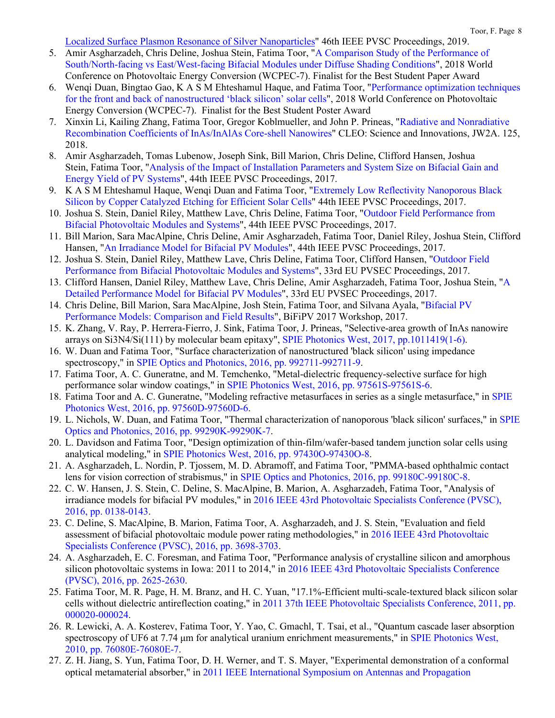[Localized Surface Plasmon Resonance of Silver Nanoparticles"](https://ieeexplore.ieee.org/abstract/document/8980870) 46th IEEE PVSC Proceedings, 2019.

- 5. Amir Asgharzadeh, Chris Deline, Joshua Stein, Fatima Toor, ["A Comparison Study of the Performance of](https://ieeexplore.ieee.org/document/8548185)  [South/North-facing vs East/West-facing Bifacial Modules under Diffuse Shading Conditions"](https://ieeexplore.ieee.org/document/8548185), 2018 World Conference on Photovoltaic Energy Conversion (WCPEC-7). Finalist for the Best Student Paper Award
- 6. Wenqi Duan, Bingtao Gao, K A S M Ehteshamul Haque, and Fatima Toor, ["Performance optimization techniques](https://ieeexplore.ieee.org/abstract/document/8547924)  [for the front and back of nanostructured 'black silicon' solar cells"](https://ieeexplore.ieee.org/abstract/document/8547924), 2018 World Conference on Photovoltaic Energy Conversion (WCPEC-7). Finalist for the Best Student Poster Award
- 7. Xinxin Li, Kailing Zhang, Fatima Toor, Gregor Koblmueller, and John P. Prineas, ["Radiative and Nonradiative](https://www.osapublishing.org/abstract.cfm?uri=CLEO_SI-2018-JW2A.125)  [Recombination Coefficients of InAs/InAlAs Core-shell Nanowires"](https://www.osapublishing.org/abstract.cfm?uri=CLEO_SI-2018-JW2A.125) CLEO: Science and Innovations, JW2A. 125, 2018.
- 8. Amir Asgharzadeh, Tomas Lubenow, Joseph Sink, Bill Marion, Chris Deline, Clifford Hansen, Joshua Stein, Fatima Toor, ["Analysis of the Impact of Installation Parameters and System Size on Bifacial Gain and](https://ieeexplore.ieee.org/document/8340958)  [Energy Yield of PV Systems"](https://ieeexplore.ieee.org/document/8340958), 44th IEEE PVSC Proceedings, 2017.
- 9. K A S M Ehteshamul Haque, Wenqi Duan and Fatima Toor, ["Extremely Low Reflectivity Nanoporous Black](https://ieeexplore.ieee.org/document/8366117)  [Silicon by Copper Catalyzed Etching for Efficient Solar Cells"](https://ieeexplore.ieee.org/document/8366117) 44th IEEE PVSC Proceedings, 2017.
- 10. Joshua S. Stein, Daniel Riley, Matthew Lave, Chris Deline, Fatima Toor, ["Outdoor Field Performance from](https://www.osti.gov/servlets/purl/1457637)  [Bifacial Photovoltaic Modules and Systems"](https://www.osti.gov/servlets/purl/1457637), 44th IEEE PVSC Proceedings, 2017.
- 11. Bill Marion, Sara MacAlpine, Chris Deline, Amir Asgharzadeh, Fatima Toor, Daniel Riley, Joshua Stein, Clifford Hansen, ["An Irradiance Model for Bifacial PV Modules"](https://ieeexplore.ieee.org/document/7749564), 44th IEEE PVSC Proceedings, 2017.
- 12. Joshua S. Stein, Daniel Riley, Matthew Lave, Chris Deline, Fatima Toor, Clifford Hansen, ["Outdoor Field](https://www.osti.gov/servlets/purl/1474810)  [Performance from Bifacial Photovoltaic Modules and Systems"](https://www.osti.gov/servlets/purl/1474810), 33rd EU PVSEC Proceedings, 2017.
- 13. Clifford Hansen, Daniel Riley, Matthew Lave, Chris Deline, Amir Asgharzadeh, Fatima Toor, Joshua Stein, ["A](https://www.eupvsec-planner.com/presentations/c43971/a_detailed_performance_model_for_bifacial_pv_modules.htm)  [Detailed Performance Model for Bifacial PV Modules"](https://www.eupvsec-planner.com/presentations/c43971/a_detailed_performance_model_for_bifacial_pv_modules.htm), 33rd EU PVSEC Proceedings, 2017.
- 14. Chris Deline, Bill Marion, Sara MacAlpine, Josh Stein, Fatima Toor, and Silvana Ayala, ["Bifacial PV](http://bifipv-workshop.com/fileadmin/layout/images/Konstanz-2017/9__C.Deline_NREL__bifi_modeling.pdf)  [Performance Models: Comparison and Field Results"](http://bifipv-workshop.com/fileadmin/layout/images/Konstanz-2017/9__C.Deline_NREL__bifi_modeling.pdf), BiFiPV 2017 Workshop, 2017.
- 15. K. Zhang, V. Ray, P. Herrera-Fierro, J. Sink, Fatima Toor, J. Prineas, "Selective-area growth of InAs nanowire arrays on Si3N4/Si(111) by molecular beam epitaxy", SPIE [Photonics West, 2017,](https://www.spiedigitallibrary.org/conference-proceedings-of-spie/10114/1/Selective-area-growth-of-InAs-nanowire-arrays-on-Si3N4-Si111/10.1117/12.2267737.full?SSO=1) pp.1011419(1-6).
- 16. W. Duan and Fatima Toor, "Surface characterization of nanostructured 'black silicon' using impedance spectroscopy," in [SPIE Optics and Photonics, 2016, pp. 992711-992711-9.](http://spie.org/Publications/Proceedings/Paper/10.1117/12.2237093)
- 17. Fatima Toor, A. C. Guneratne, and M. Temchenko, "Metal-dielectric frequency-selective surface for high performance solar window coatings," in [SPIE Photonics West, 2016, pp. 97561S-97561S-6.](http://spie.org/Publications/Proceedings/Paper/10.1117/12.2211179)
- 18. Fatima Toor and A. C. Guneratne, "Modeling refractive metasurfaces in series as a single metasurface," in [SPIE](http://spie.org/Publications/Proceedings/Paper/10.1117/12.2211189)  [Photonics West, 2016, pp. 97560D-97560D-6.](http://spie.org/Publications/Proceedings/Paper/10.1117/12.2211189)
- 19. L. Nichols, W. Duan, and Fatima Toor, "Thermal characterization of nanoporous 'black silicon' surfaces," in [SPIE](http://spie.org/Publications/Proceedings/Paper/10.1117/12.2237042)  [Optics and Photonics, 2016, pp. 99290K-99290K-7.](http://spie.org/Publications/Proceedings/Paper/10.1117/12.2237042)
- 20. L. Davidson and Fatima Toor, "Design optimization of thin-film/wafer-based tandem junction solar cells using analytical modeling," in [SPIE Photonics West, 2016, pp. 97430O-97430O-8.](http://spie.org/Publications/Proceedings/Paper/10.1117/12.2211163)
- 21. A. Asgharzadeh, L. Nordin, P. Tjossem, M. D. Abramoff, and Fatima Toor, "PMMA-based ophthalmic contact lens for vision correction of strabismus," in [SPIE Optics and Photonics, 2016, pp. 99180C-99180C-8.](http://spie.org/Publications/Proceedings/Paper/10.1117/12.2237994)
- 22. C. W. Hansen, J. S. Stein, C. Deline, S. MacAlpine, B. Marion, A. Asgharzadeh, Fatima Toor, "Analysis of irradiance models for bifacial PV modules," in [2016 IEEE 43rd Photovoltaic Specialists](http://ieeexplore.ieee.org/document/7749564/) Conference (PVSC), [2016, pp. 0138-0143.](http://ieeexplore.ieee.org/document/7749564/)
- 23. C. Deline, S. MacAlpine, B. Marion, Fatima Toor, A. Asgharzadeh, and J. S. Stein, "Evaluation and field assessment of bifacial photovoltaic module power rating methodologies," in [2016 IEEE 43rd Photovoltaic](http://ieeexplore.ieee.org/document/7750367/)  [Specialists Conference \(PVSC\), 2016, pp. 3698-3703.](http://ieeexplore.ieee.org/document/7750367/)
- 24. A. Asgharzadeh, E. C. Foresman, and Fatima Toor, "Performance analysis of crystalline silicon and amorphous silicon photovoltaic systems in Iowa: 2011 to 2014," in [2016 IEEE 43rd Photovoltaic Specialists Conference](http://ieeexplore.ieee.org/document/7750124/)  [\(PVSC\), 2016, pp. 2625-2630.](http://ieeexplore.ieee.org/document/7750124/)
- 25. Fatima Toor, M. R. Page, H. M. Branz, and H. C. Yuan, "17.1%-Efficient multi-scale-textured black silicon solar cells without dielectric antireflection coating," in [2011 37th IEEE Photovoltaic Specialists Conference, 2011, pp.](http://ieeexplore.ieee.org/document/6185835/)  [000020-000024.](http://ieeexplore.ieee.org/document/6185835/)
- 26. R. Lewicki, A. A. Kosterev, Fatima Toor, Y. Yao, C. Gmachl, T. Tsai, et al., "Quantum cascade laser absorption spectroscopy of UF6 at 7.74 μm for analytical uranium enrichment measurements," in [SPIE Photonics West,](http://spie.org/Publications/Proceedings/Paper/10.1117/12.841939)  [2010, pp. 76080E-76080E-7.](http://spie.org/Publications/Proceedings/Paper/10.1117/12.841939)
- 27. Z. H. Jiang, S. Yun, Fatima Toor, D. H. Werner, and T. S. Mayer, "Experimental demonstration of a conformal optical metamaterial absorber," in [2011 IEEE International Symposium on Antennas and Propagation](http://ieeexplore.ieee.org/document/5996848/)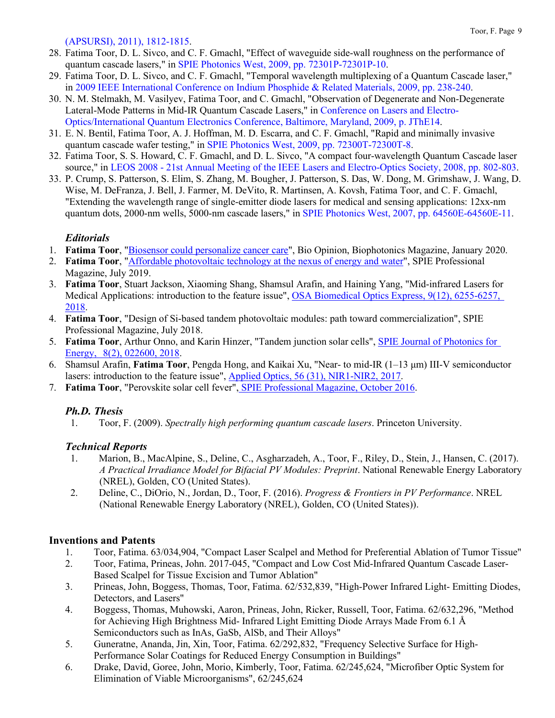[\(APSURSI\), 2011\), 1812-1815.](http://ieeexplore.ieee.org/document/5996848/)

- 28. Fatima Toor, D. L. Sivco, and C. F. Gmachl, "Effect of waveguide side-wall roughness on the performance of quantum cascade lasers," in [SPIE Photonics West, 2009, pp. 72301P-72301P-10.](http://spie.org/Publications/Proceedings/Paper/10.1117/12.808227)
- 29. Fatima Toor, D. L. Sivco, and C. F. Gmachl, "Temporal wavelength multiplexing of a Quantum Cascade laser," in [2009 IEEE International Conference on Indium Phosphide & Related Materials, 2009, pp. 238-240.](http://ieeexplore.ieee.org/document/5012481/)
- 30. N. M. Stelmakh, M. Vasilyev, Fatima Toor, and C. Gmachl, "Observation of Degenerate and Non-Degenerate Lateral-Mode Patterns in Mid-IR Quantum Cascade Lasers," in [Conference on Lasers and Electro-](http://ieeexplore.ieee.org/document/5225987/)[Optics/International Quantum Electronics Conference, Baltimore, Maryland, 2009, p. JThE14.](http://ieeexplore.ieee.org/document/5225987/)
- 31. E. N. Bentil, Fatima Toor, A. J. Hoffman, M. D. Escarra, and C. F. Gmachl, "Rapid and minimally invasive quantum cascade wafer testing," in [SPIE Photonics West, 2009, pp. 72300T-72300T-8.](http://spie.org/Publications/Proceedings/Paper/10.1117/12.810258)
- 32. Fatima Toor, S. S. Howard, C. F. Gmachl, and D. L. Sivco, "A compact four-wavelength Quantum Cascade laser source," in LEOS 2008 - [21st Annual Meeting of the IEEE Lasers and Electro-Optics Society, 2008, pp. 802-803.](http://ieeexplore.ieee.org/document/4688864/)
- 33. P. Crump, S. Patterson, S. Elim, S. Zhang, M. Bougher, J. Patterson, S. Das, W. Dong, M. Grimshaw, J. Wang, D. Wise, M. DeFranza, J. Bell, J. Farmer, M. DeVito, R. Martinsen, A. Kovsh, Fatima Toor, and C. F. Gmachl, "Extending the wavelength range of single-emitter diode lasers for medical and sensing applications: 12xx-nm quantum dots, 2000-nm wells, 5000-nm cascade lasers," in [SPIE Photonics West, 2007, pp. 64560E-64560E-11.](http://spie.org/Publications/Proceedings/Paper/10.1117/12.706177)

## *Editorials*

- 1. **Fatima Toor**, ["Biosensor could personalize cancer care"](https://www.photonics.com/Article.aspx?AID=65363), Bio Opinion, Biophotonics Magazine, January 2020.
- 2. **Fatima Toor**, ["Affordable photovoltaic technology at the nexus of energy and water"](https://spie.org/news/spie-professional-magazine/affordable-pv-technology-at-the-nexus-of-energy-and-water?SSO=1), SPIE Professional Magazine, July 2019.
- 3. **Fatima Toor**, Stuart Jackson, Xiaoming Shang, Shamsul Arafin, and Haining Yang, "Mid-infrared Lasers for Medical Applications: introduction to the feature issue", [OSA Biomedical Optics Express, 9\(12\), 6255-6257,](https://www.osapublishing.org/boe/abstract.cfm?uri=boe-9-12-6255)  [2018.](https://www.osapublishing.org/boe/abstract.cfm?uri=boe-9-12-6255)
- 4. **Fatima Toor**, "Design of Si-based tandem photovoltaic modules: path toward commercialization", SPIE Professional Magazine, July 2018.
- 5. **Fatima Toor**, Arthur Onno, and Karin Hinzer, "Tandem junction solar cells", [SPIE Journal of Photonics for](https://www.spiedigitallibrary.org/journals/journal-of-photonics-for-energy/volume-8/issue-02/022600/Special-Section-Guest-Editorial-Tandem-Junction-Solar-Cells/10.1117/1.JPE.8.022600.full)  Energy, [8\(2\), 022600, 2018.](https://www.spiedigitallibrary.org/journals/journal-of-photonics-for-energy/volume-8/issue-02/022600/Special-Section-Guest-Editorial-Tandem-Junction-Solar-Cells/10.1117/1.JPE.8.022600.full)
- 6. Shamsul Arafin, **Fatima Toor**, Pengda Hong, and Kaikai Xu, "Near- to mid-IR (1–13 μm) III-V semiconductor lasers: introduction to the feature issue", [Applied Optics, 56 \(31\), NIR1-NIR2, 2017.](https://www.osapublishing.org/ao/abstract.cfm?uri=ao-56-31-NIR1)
- 7. **Fatima Toor**, "Perovskite solar cell fever", [SPIE Professional Magazine,](https://spie.org/membership/spie-professional-magazine/spie-professional-archives-and-special-content/2016_october_archive/perovskite-solar-cell-fever) October 2016.

## *Ph.D. Thesis*

1. Toor, F. (2009). *Spectrally high performing quantum cascade lasers*. Princeton University.

## *Technical Reports*

- 1. Marion, B., MacAlpine, S., Deline, C., Asgharzadeh, A., Toor, F., Riley, D., Stein, J., Hansen, C. (2017). *A Practical Irradiance Model for Bifacial PV Modules: Preprint*. National Renewable Energy Laboratory (NREL), Golden, CO (United States).
- 2. Deline, C., DiOrio, N., Jordan, D., Toor, F. (2016). *Progress & Frontiers in PV Performance*. NREL (National Renewable Energy Laboratory (NREL), Golden, CO (United States)).

## **Inventions and Patents**

- 1. Toor, Fatima. 63/034,904, "Compact Laser Scalpel and Method for Preferential Ablation of Tumor Tissue"
- 2. Toor, Fatima, Prineas, John. 2017-045, "Compact and Low Cost Mid-Infrared Quantum Cascade Laser-Based Scalpel for Tissue Excision and Tumor Ablation"
- 3. Prineas, John, Boggess, Thomas, Toor, Fatima. 62/532,839, "High-Power Infrared Light- Emitting Diodes, Detectors, and Lasers"
- 4. Boggess, Thomas, Muhowski, Aaron, Prineas, John, Ricker, Russell, Toor, Fatima. 62/632,296, "Method for Achieving High Brightness Mid- Infrared Light Emitting Diode Arrays Made From 6.1 Å Semiconductors such as InAs, GaSb, AlSb, and Their Alloys"
- 5. Guneratne, Ananda, Jin, Xin, Toor, Fatima. 62/292,832, "Frequency Selective Surface for High-Performance Solar Coatings for Reduced Energy Consumption in Buildings"
- 6. Drake, David, Goree, John, Morio, Kimberly, Toor, Fatima. 62/245,624, "Microfiber Optic System for Elimination of Viable Microorganisms", 62/245,624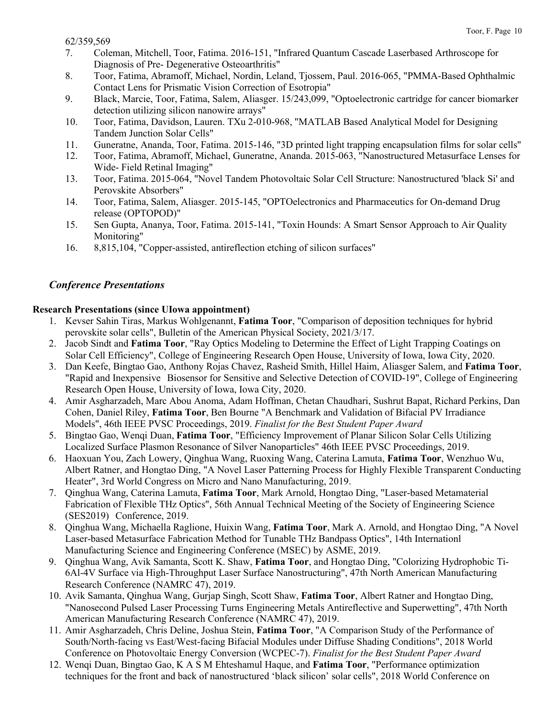- 7. Coleman, Mitchell, Toor, Fatima. 2016-151, "Infrared Quantum Cascade Laserbased Arthroscope for Diagnosis of Pre- Degenerative Osteoarthritis"
- 8. Toor, Fatima, Abramoff, Michael, Nordin, Leland, Tjossem, Paul. 2016-065, "PMMA-Based Ophthalmic Contact Lens for Prismatic Vision Correction of Esotropia"
- 9. Black, Marcie, Toor, Fatima, Salem, Aliasger. 15/243,099, "Optoelectronic cartridge for cancer biomarker detection utilizing silicon nanowire arrays"
- 10. Toor, Fatima, Davidson, Lauren. TXu 2-010-968, "MATLAB Based Analytical Model for Designing Tandem Junction Solar Cells"
- 11. Guneratne, Ananda, Toor, Fatima. 2015-146, "3D printed light trapping encapsulation films for solar cells"
- 12. Toor, Fatima, Abramoff, Michael, Guneratne, Ananda. 2015-063, "Nanostructured Metasurface Lenses for Wide- Field Retinal Imaging"
- 13. Toor, Fatima. 2015-064, "Novel Tandem Photovoltaic Solar Cell Structure: Nanostructured 'black Si' and Perovskite Absorbers"
- 14. Toor, Fatima, Salem, Aliasger. 2015-145, "OPTOelectronics and Pharmaceutics for On-demand Drug release (OPTOPOD)"
- 15. Sen Gupta, Ananya, Toor, Fatima. 2015-141, "Toxin Hounds: A Smart Sensor Approach to Air Quality Monitoring"
- 16. 8,815,104, "Copper-assisted, antireflection etching of silicon surfaces"

## *Conference Presentations*

### **Research Presentations (since UIowa appointment)**

- 1. Kevser Sahin Tiras, Markus Wohlgenannt, **Fatima Toor**, "Comparison of deposition techniques for hybrid perovskite solar cells", Bulletin of the American Physical Society, 2021/3/17.
- 2. Jacob Sindt and **Fatima Toor**, "Ray Optics Modeling to Determine the Effect of Light Trapping Coatings on Solar Cell Efficiency", College of Engineering Research Open House, University of Iowa, Iowa City, 2020.
- 3. Dan Keefe, Bingtao Gao, Anthony Rojas Chavez, Rasheid Smith, Hillel Haim, Aliasger Salem, and **Fatima Toor**, "Rapid and Inexpensive Biosensor for Sensitive and Selective Detection of COVID-19", College of Engineering Research Open House, University of Iowa, Iowa City, 2020.
- 4. Amir Asgharzadeh, Marc Abou Anoma, Adam Hoffman, Chetan Chaudhari, Sushrut Bapat, Richard Perkins, Dan Cohen, Daniel Riley, **Fatima Toor**, Ben Bourne "A Benchmark and Validation of Bifacial PV Irradiance Models", 46th IEEE PVSC Proceedings, 2019. *Finalist for the Best Student Paper Award*
- 5. Bingtao Gao, Wenqi Duan, **Fatima Toor**, "Efficiency Improvement of Planar Silicon Solar Cells Utilizing Localized Surface Plasmon Resonance of Silver Nanoparticles" 46th IEEE PVSC Proceedings, 2019.
- 6. Haoxuan You, Zach Lowery, Qinghua Wang, Ruoxing Wang, Caterina Lamuta, **Fatima Toor**, Wenzhuo Wu, Albert Ratner, and Hongtao Ding, "A Novel Laser Patterning Process for Highly Flexible Transparent Conducting Heater", 3rd World Congress on Micro and Nano Manufacturing, 2019.
- 7. Qinghua Wang, Caterina Lamuta, **Fatima Toor**, Mark Arnold, Hongtao Ding, "Laser-based Metamaterial Fabrication of Flexible THz Optics", 56th Annual Technical Meeting of the Society of Engineering Science (SES2019) Conference, 2019.
- 8. Qinghua Wang, Michaella Raglione, Huixin Wang, **Fatima Toor**, Mark A. Arnold, and Hongtao Ding, "A Novel Laser-based Metasurface Fabrication Method for Tunable THz Bandpass Optics", 14th Internationl Manufacturing Science and Engineering Conference (MSEC) by ASME, 2019.
- 9. Qinghua Wang, Avik Samanta, Scott K. Shaw, **Fatima Toor**, and Hongtao Ding, "Colorizing Hydrophobic Ti-6Al-4V Surface via High-Throughput Laser Surface Nanostructuring", 47th North American Manufacturing Research Conference (NAMRC 47), 2019.
- 10. Avik Samanta, Qinghua Wang, Gurjap Singh, Scott Shaw, **Fatima Toor**, Albert Ratner and Hongtao Ding, "Nanosecond Pulsed Laser Processing Turns Engineering Metals Antireflective and Superwetting", 47th North American Manufacturing Research Conference (NAMRC 47), 2019.
- 11. Amir Asgharzadeh, Chris Deline, Joshua Stein, **Fatima Toor**, "A Comparison Study of the Performance of South/North-facing vs East/West-facing Bifacial Modules under Diffuse Shading Conditions", 2018 World Conference on Photovoltaic Energy Conversion (WCPEC-7). *Finalist for the Best Student Paper Award*
- 12. Wenqi Duan, Bingtao Gao, K A S M Ehteshamul Haque, and **Fatima Toor**, "Performance optimization techniques for the front and back of nanostructured 'black silicon' solar cells", 2018 World Conference on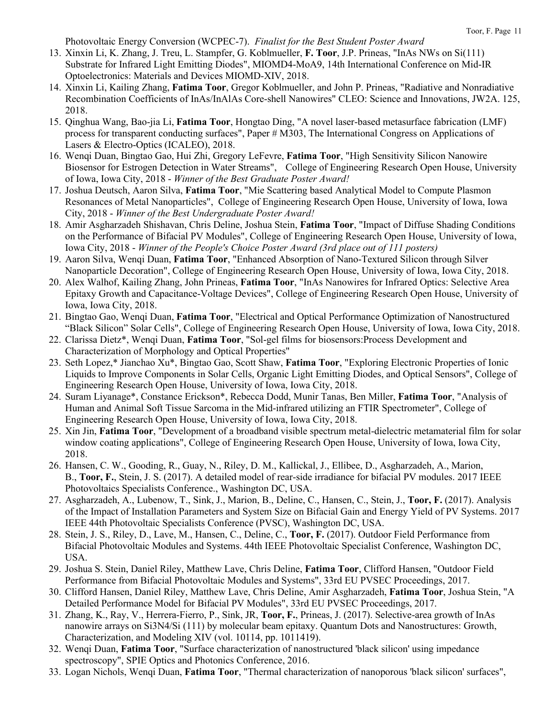Photovoltaic Energy Conversion (WCPEC-7). *Finalist for the Best Student Poster Award*

- 13. Xinxin Li, K. Zhang, J. Treu, L. Stampfer, G. Koblmueller, **F. Toor**, J.P. Prineas, "InAs NWs on Si(111) Substrate for Infrared Light Emitting Diodes", MIOMD4-MoA9, 14th International Conference on Mid-IR Optoelectronics: Materials and Devices MIOMD-XIV, 2018.
- 14. Xinxin Li, Kailing Zhang, **Fatima Toor**, Gregor Koblmueller, and John P. Prineas, "Radiative and Nonradiative Recombination Coefficients of InAs/InAlAs Core-shell Nanowires" CLEO: Science and Innovations, JW2A. 125, 2018.
- 15. Qinghua Wang, Bao-jia Li, **Fatima Toor**, Hongtao Ding, "A novel laser-based metasurface fabrication (LMF) process for transparent conducting surfaces", Paper # M303, The International Congress on Applications of Lasers & Electro-Optics (ICALEO), 2018.
- 16. Wenqi Duan, Bingtao Gao, Hui Zhi, Gregory LeFevre, **Fatima Toor**, "High Sensitivity Silicon Nanowire Biosensor for Estrogen Detection in Water Streams", College of Engineering Research Open House, University of Iowa, Iowa City, 2018 - *Winner of the Best Graduate Poster Award!*
- 17. Joshua Deutsch, Aaron Silva, **Fatima Toor**, "Mie Scattering based Analytical Model to Compute Plasmon Resonances of Metal Nanoparticles", College of Engineering Research Open House, University of Iowa, Iowa City, 2018 - *Winner of the Best Undergraduate Poster Award!*
- 18. Amir Asgharzadeh Shishavan, Chris Deline, Joshua Stein, **Fatima Toor**, "Impact of Diffuse Shading Conditions on the Performance of Bifacial PV Modules", College of Engineering Research Open House, University of Iowa, Iowa City, 2018 - *Winner of the People's Choice Poster Award (3rd place out of 111 posters)*
- 19. Aaron Silva, Wenqi Duan, **Fatima Toor**, "Enhanced Absorption of Nano-Textured Silicon through Silver Nanoparticle Decoration", College of Engineering Research Open House, University of Iowa, Iowa City, 2018.
- 20. Alex Walhof, Kailing Zhang, John Prineas, **Fatima Toor**, "InAs Nanowires for Infrared Optics: Selective Area Epitaxy Growth and Capacitance-Voltage Devices", College of Engineering Research Open House, University of Iowa, Iowa City, 2018.
- 21. Bingtao Gao, Wenqi Duan, **Fatima Toor**, "Electrical and Optical Performance Optimization of Nanostructured "Black Silicon" Solar Cells", College of Engineering Research Open House, University of Iowa, Iowa City, 2018.
- 22. Clarissa Dietz\*, Wenqi Duan, **Fatima Toor**, "Sol-gel films for biosensors:Process Development and Characterization of Morphology and Optical Properties"
- 23. Seth Lopez,\* Jianchao Xu\*, Bingtao Gao, Scott Shaw, **Fatima Toor**, "Exploring Electronic Properties of Ionic Liquids to Improve Components in Solar Cells, Organic Light Emitting Diodes, and Optical Sensors", College of Engineering Research Open House, University of Iowa, Iowa City, 2018.
- 24. Suram Liyanage\*, Constance Erickson\*, Rebecca Dodd, Munir Tanas, Ben Miller, **Fatima Toor**, "Analysis of Human and Animal Soft Tissue Sarcoma in the Mid-infrared utilizing an FTIR Spectrometer", College of Engineering Research Open House, University of Iowa, Iowa City, 2018.
- 25. Xin Jin, **Fatima Toor**, "Development of a broadband visible spectrum metal-dielectric metamaterial film for solar window coating applications", College of Engineering Research Open House, University of Iowa, Iowa City, 2018.
- 26. Hansen, C. W., Gooding, R., Guay, N., Riley, D. M., Kallickal, J., Ellibee, D., Asgharzadeh, A., Marion, B., **Toor, F.**, Stein, J. S. (2017). A detailed model of rear-side irradiance for bifacial PV modules. 2017 IEEE Photovoltaics Specialists Conference., Washington DC, USA.
- 27. Asgharzadeh, A., Lubenow, T., Sink, J., Marion, B., Deline, C., Hansen, C., Stein, J., **Toor, F.** (2017). Analysis of the Impact of Installation Parameters and System Size on Bifacial Gain and Energy Yield of PV Systems. 2017 IEEE 44th Photovoltaic Specialists Conference (PVSC), Washington DC, USA.
- 28. Stein, J. S., Riley, D., Lave, M., Hansen, C., Deline, C., **Toor, F.** (2017). Outdoor Field Performance from Bifacial Photovoltaic Modules and Systems. 44th IEEE Photovoltaic Specialist Conference, Washington DC, USA.
- 29. Joshua S. Stein, Daniel Riley, Matthew Lave, Chris Deline, **Fatima Toor**, Clifford Hansen, "Outdoor Field Performance from Bifacial Photovoltaic Modules and Systems", 33rd EU PVSEC Proceedings, 2017.
- 30. Clifford Hansen, Daniel Riley, Matthew Lave, Chris Deline, Amir Asgharzadeh, **Fatima Toor**, Joshua Stein, "A Detailed Performance Model for Bifacial PV Modules", 33rd EU PVSEC Proceedings, 2017.
- 31. Zhang, K., Ray, V., Herrera-Fierro, P., Sink, JR, **Toor, F.**, Prineas, J. (2017). Selective-area growth of InAs nanowire arrays on Si3N4/Si (111) by molecular beam epitaxy. Quantum Dots and Nanostructures: Growth, Characterization, and Modeling XIV (vol. 10114, pp. 1011419).
- 32. Wenqi Duan, **Fatima Toor**, "Surface characterization of nanostructured 'black silicon' using impedance spectroscopy", SPIE Optics and Photonics Conference, 2016.
- 33. Logan Nichols, Wenqi Duan, **Fatima Toor**, "Thermal characterization of nanoporous 'black silicon' surfaces",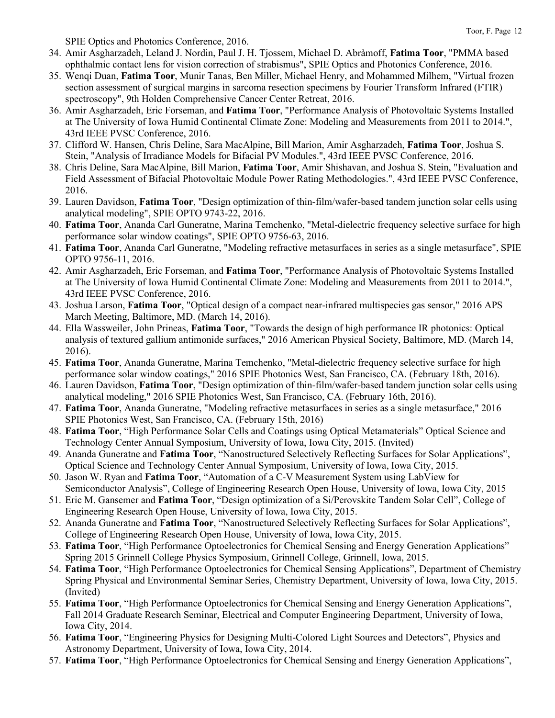SPIE Optics and Photonics Conference, 2016.

- 34. Amir Asgharzadeh, Leland J. Nordin, Paul J. H. Tjossem, Michael D. Abràmoff, **Fatima Toor**, "PMMA based ophthalmic contact lens for vision correction of strabismus", SPIE Optics and Photonics Conference, 2016.
- 35. Wenqi Duan, **Fatima Toor**, Munir Tanas, Ben Miller, Michael Henry, and Mohammed Milhem, "Virtual frozen section assessment of surgical margins in sarcoma resection specimens by Fourier Transform Infrared (FTIR) spectroscopy", 9th Holden Comprehensive Cancer Center Retreat, 2016.
- 36. Amir Asgharzadeh, Eric Forseman, and **Fatima Toor**, "Performance Analysis of Photovoltaic Systems Installed at The University of Iowa Humid Continental Climate Zone: Modeling and Measurements from 2011 to 2014.", 43rd IEEE PVSC Conference, 2016.
- 37. Clifford W. Hansen, Chris Deline, Sara MacAlpine, Bill Marion, Amir Asgharzadeh, **Fatima Toor**, Joshua S. Stein, "Analysis of Irradiance Models for Bifacial PV Modules.", 43rd IEEE PVSC Conference, 2016.
- 38. Chris Deline, Sara MacAlpine, Bill Marion, **Fatima Toor**, Amir Shishavan, and Joshua S. Stein, "Evaluation and Field Assessment of Bifacial Photovoltaic Module Power Rating Methodologies.", 43rd IEEE PVSC Conference, 2016.
- 39. Lauren Davidson, **Fatima Toor**, "Design optimization of thin-film/wafer-based tandem junction solar cells using analytical modeling", SPIE OPTO 9743-22, 2016.
- 40. **Fatima Toor**, Ananda Carl Guneratne, Marina Temchenko, "Metal-dielectric frequency selective surface for high performance solar window coatings", SPIE OPTO 9756-63, 2016.
- 41. **Fatima Toor**, Ananda Carl Guneratne, "Modeling refractive metasurfaces in series as a single metasurface", SPIE OPTO 9756-11, 2016.
- 42. Amir Asgharzadeh, Eric Forseman, and **Fatima Toor**, "Performance Analysis of Photovoltaic Systems Installed at The University of Iowa Humid Continental Climate Zone: Modeling and Measurements from 2011 to 2014.", 43rd IEEE PVSC Conference, 2016.
- 43. Joshua Larson, **Fatima Toor**, "Optical design of a compact near-infrared multispecies gas sensor," 2016 APS March Meeting, Baltimore, MD. (March 14, 2016).
- 44. Ella Wassweiler, John Prineas, **Fatima Toor**, "Towards the design of high performance IR photonics: Optical analysis of textured gallium antimonide surfaces," 2016 American Physical Society, Baltimore, MD. (March 14, 2016).
- 45. **Fatima Toor**, Ananda Guneratne, Marina Temchenko, "Metal-dielectric frequency selective surface for high performance solar window coatings," 2016 SPIE Photonics West, San Francisco, CA. (February 18th, 2016).
- 46. Lauren Davidson, **Fatima Toor**, "Design optimization of thin-film/wafer-based tandem junction solar cells using analytical modeling," 2016 SPIE Photonics West, San Francisco, CA. (February 16th, 2016).
- 47. **Fatima Toor**, Ananda Guneratne, "Modeling refractive metasurfaces in series as a single metasurface," 2016 SPIE Photonics West, San Francisco, CA. (February 15th, 2016)
- 48. **Fatima Toor**, "High Performance Solar Cells and Coatings using Optical Metamaterials" Optical Science and Technology Center Annual Symposium, University of Iowa, Iowa City, 2015. (Invited)
- 49. Ananda Guneratne and **Fatima Toor**, "Nanostructured Selectively Reflecting Surfaces for Solar Applications", Optical Science and Technology Center Annual Symposium, University of Iowa, Iowa City, 2015.
- 50. Jason W. Ryan and **Fatima Toor**, "Automation of a C-V Measurement System using LabView for Semiconductor Analysis", College of Engineering Research Open House, University of Iowa, Iowa City, 2015
- 51. Eric M. Gansemer and **Fatima Toor**, "Design optimization of a Si/Perovskite Tandem Solar Cell", College of Engineering Research Open House, University of Iowa, Iowa City, 2015.
- 52. Ananda Guneratne and **Fatima Toor**, "Nanostructured Selectively Reflecting Surfaces for Solar Applications", College of Engineering Research Open House, University of Iowa, Iowa City, 2015.
- 53. **Fatima Toor**, "High Performance Optoelectronics for Chemical Sensing and Energy Generation Applications" Spring 2015 Grinnell College Physics Symposium, Grinnell College, Grinnell, Iowa, 2015.
- 54. **Fatima Toor**, "High Performance Optoelectronics for Chemical Sensing Applications", Department of Chemistry Spring Physical and Environmental Seminar Series, Chemistry Department, University of Iowa, Iowa City, 2015. (Invited)
- 55. **Fatima Toor**, "High Performance Optoelectronics for Chemical Sensing and Energy Generation Applications", Fall 2014 Graduate Research Seminar, Electrical and Computer Engineering Department, University of Iowa, Iowa City, 2014.
- 56. **Fatima Toor**, "Engineering Physics for Designing Multi-Colored Light Sources and Detectors", Physics and Astronomy Department, University of Iowa, Iowa City, 2014.
- 57. **Fatima Toor**, "High Performance Optoelectronics for Chemical Sensing and Energy Generation Applications",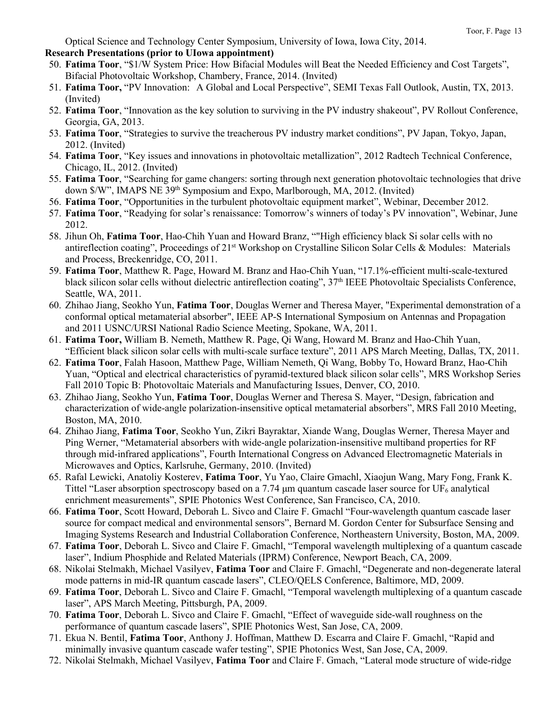Optical Science and Technology Center Symposium, University of Iowa, Iowa City, 2014. **Research Presentations (prior to UIowa appointment)**

- 50. **Fatima Toor**, "\$1/W System Price: How Bifacial Modules will Beat the Needed Efficiency and Cost Targets", Bifacial Photovoltaic Workshop, Chambery, France, 2014. (Invited)
- 51. **Fatima Toor,** "PV Innovation: A Global and Local Perspective", SEMI Texas Fall Outlook, Austin, TX, 2013. (Invited)
- 52. **Fatima Toor**, "Innovation as the key solution to surviving in the PV industry shakeout", PV Rollout Conference, Georgia, GA, 2013.
- 53. **Fatima Toor**, "Strategies to survive the treacherous PV industry market conditions", PV Japan, Tokyo, Japan, 2012. (Invited)
- 54. **Fatima Toor**, "Key issues and innovations in photovoltaic metallization", 2012 Radtech Technical Conference, Chicago, IL, 2012. (Invited)
- 55. **Fatima Toor**, "Searching for game changers: sorting through next generation photovoltaic technologies that drive down \$/W", IMAPS NE 39<sup>th</sup> Symposium and Expo, Marlborough, MA, 2012. (Invited)
- 56. **Fatima Toor**, "Opportunities in the turbulent photovoltaic equipment market", Webinar, December 2012.
- 57. **Fatima Toor**, "Readying for solar's renaissance: Tomorrow's winners of today's PV innovation", Webinar, June 2012.
- 58. Jihun Oh, **Fatima Toor**, Hao-Chih Yuan and Howard Branz, ""High efficiency black Si solar cells with no antireflection coating", Proceedings of 21<sup>st</sup> Workshop on Crystalline Silicon Solar Cells & Modules: Materials and Process, Breckenridge, CO, 2011.
- 59. **Fatima Toor**, Matthew R. Page, Howard M. Branz and Hao-Chih Yuan, "17.1%-efficient multi-scale-textured black silicon solar cells without dielectric antireflection coating", 37<sup>th</sup> IEEE Photovoltaic Specialists Conference, Seattle, WA, 2011.
- 60. Zhihao Jiang, Seokho Yun, **Fatima Toor**, Douglas Werner and Theresa Mayer, "Experimental demonstration of a conformal optical metamaterial absorber", IEEE AP-S International Symposium on Antennas and Propagation and 2011 USNC/URSI National Radio Science Meeting, Spokane, WA, 2011.
- 61. **Fatima Toor,** William B. Nemeth, Matthew R. Page, Qi Wang, Howard M. Branz and Hao-Chih Yuan, "Efficient black silicon solar cells with multi-scale surface texture", 2011 APS March Meeting, Dallas, TX, 2011.
- 62. **Fatima Toor**, Falah Hasoon, Matthew Page, William Nemeth, Qi Wang, Bobby To, Howard Branz, Hao-Chih Yuan, "Optical and electrical characteristics of pyramid-textured black silicon solar cells", MRS Workshop Series Fall 2010 Topic B: Photovoltaic Materials and Manufacturing Issues, Denver, CO, 2010.
- 63. Zhihao Jiang, Seokho Yun, **Fatima Toor**, Douglas Werner and Theresa S. Mayer, "Design, fabrication and characterization of wide-angle polarization-insensitive optical metamaterial absorbers", MRS Fall 2010 Meeting, Boston, MA, 2010.
- 64. Zhihao Jiang, **Fatima Toor**, Seokho Yun, Zikri Bayraktar, Xiande Wang, Douglas Werner, Theresa Mayer and Ping Werner, "Metamaterial absorbers with wide-angle polarization-insensitive multiband properties for RF through mid-infrared applications", Fourth International Congress on Advanced Electromagnetic Materials in Microwaves and Optics, Karlsruhe, Germany, 2010. (Invited)
- 65. Rafal Lewicki, Anatoliy Kosterev, **Fatima Toor**, Yu Yao, Claire Gmachl, Xiaojun Wang, Mary Fong, Frank K. Tittel "Laser absorption spectroscopy based on a 7.74  $\mu$ m quantum cascade laser source for UF<sub>6</sub> analytical enrichment measurements", SPIE Photonics West Conference, San Francisco, CA, 2010.
- 66. **Fatima Toor**, Scott Howard, Deborah L. Sivco and Claire F. Gmachl "Four-wavelength quantum cascade laser source for compact medical and environmental sensors", Bernard M. Gordon Center for Subsurface Sensing and Imaging Systems Research and Industrial Collaboration Conference, Northeastern University, Boston, MA, 2009.
- 67. **Fatima Toor**, Deborah L. Sivco and Claire F. Gmachl, "Temporal wavelength multiplexing of a quantum cascade laser", Indium Phosphide and Related Materials (IPRM) Conference, Newport Beach, CA, 2009.
- 68. Nikolai Stelmakh, Michael Vasilyev, **Fatima Toor** and Claire F. Gmachl, "Degenerate and non-degenerate lateral mode patterns in mid-IR quantum cascade lasers", CLEO/QELS Conference, Baltimore, MD, 2009.
- 69. **Fatima Toor**, Deborah L. Sivco and Claire F. Gmachl, "Temporal wavelength multiplexing of a quantum cascade laser", APS March Meeting, Pittsburgh, PA, 2009.
- 70. **Fatima Toor**, Deborah L. Sivco and Claire F. Gmachl, "Effect of waveguide side-wall roughness on the performance of quantum cascade lasers", SPIE Photonics West, San Jose, CA, 2009.
- 71. Ekua N. Bentil, **Fatima Toor**, Anthony J. Hoffman, Matthew D. Escarra and Claire F. Gmachl, "Rapid and minimally invasive quantum cascade wafer testing", SPIE Photonics West, San Jose, CA, 2009.
- 72. Nikolai Stelmakh, Michael Vasilyev, **Fatima Toor** and Claire F. Gmach, "Lateral mode structure of wide-ridge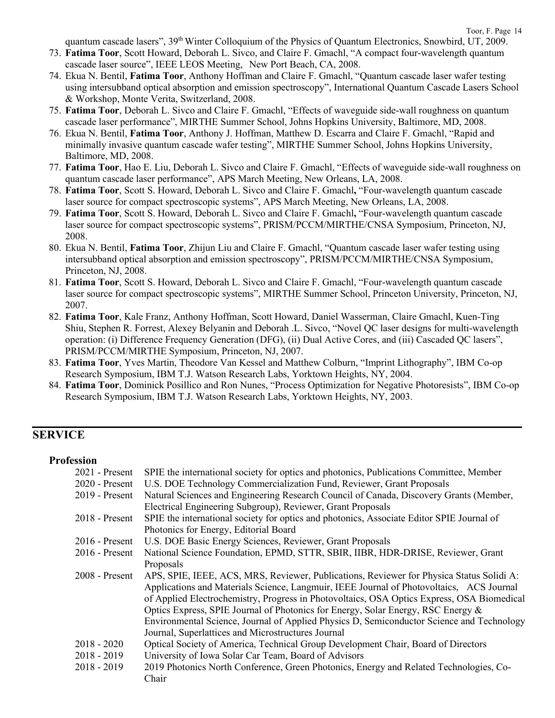quantum cascade lasers", 39<sup>th</sup> Winter Colloquium of the Physics of Quantum Electronics, Snowbird, UT, 2009.

- 73. **Fatima Toor**, Scott Howard, Deborah L. Sivco, and Claire F. Gmachl, "A compact four-wavelength quantum cascade laser source", IEEE LEOS Meeting, New Port Beach, CA, 2008.
- 74. Ekua N. Bentil, **Fatima Toor**, Anthony Hoffman and Claire F. Gmachl, "Quantum cascade laser wafer testing using intersubband optical absorption and emission spectroscopy", International Quantum Cascade Lasers School & Workshop, Monte Verita, Switzerland, 2008.
- 75. **Fatima Toor**, Deborah L. Sivco and Claire F. Gmachl, "Effects of waveguide side-wall roughness on quantum cascade laser performance", MIRTHE Summer School, Johns Hopkins University, Baltimore, MD, 2008.
- 76. Ekua N. Bentil, **Fatima Toor**, Anthony J. Hoffman, Matthew D. Escarra and Claire F. Gmachl, "Rapid and minimally invasive quantum cascade wafer testing", MIRTHE Summer School, Johns Hopkins University, Baltimore, MD, 2008.
- 77. **Fatima Toor**, Hao E. Liu, Deborah L. Sivco and Claire F. Gmachl, "Effects of waveguide side-wall roughness on quantum cascade laser performance", APS March Meeting, New Orleans, LA, 2008.
- 78. **Fatima Toor**, Scott S. Howard, Deborah L. Sivco and Claire F. Gmachl**,** "Four-wavelength quantum cascade laser source for compact spectroscopic systems", APS March Meeting, New Orleans, LA, 2008.
- 79. **Fatima Toor**, Scott S. Howard, Deborah L. Sivco and Claire F. Gmachl**,** "Four-wavelength quantum cascade laser source for compact spectroscopic systems", PRISM/PCCM/MIRTHE/CNSA Symposium, Princeton, NJ, 2008.
- 80. Ekua N. Bentil, **Fatima Toor**, Zhijun Liu and Claire F. Gmachl, "Quantum cascade laser wafer testing using intersubband optical absorption and emission spectroscopy", PRISM/PCCM/MIRTHE/CNSA Symposium, Princeton, NJ, 2008.
- 81. **Fatima Toor**, Scott S. Howard, Deborah L. Sivco and Claire F. Gmachl, "Four-wavelength quantum cascade laser source for compact spectroscopic systems", MIRTHE Summer School, Princeton University, Princeton, NJ, 2007.
- 82. **Fatima Toor**, Kale Franz, Anthony Hoffman, Scott Howard, Daniel Wasserman, Claire Gmachl, Kuen-Ting Shiu, Stephen R. Forrest, Alexey Belyanin and Deborah .L. Sivco, "Novel QC laser designs for multi-wavelength operation: (i) Difference Frequency Generation (DFG), (ii) Dual Active Cores, and (iii) Cascaded QC lasers", PRISM/PCCM/MIRTHE Symposium, Princeton, NJ, 2007.
- 83. **Fatima Toor**, Yves Martin, Theodore Van Kessel and Matthew Colburn, "Imprint Lithography", IBM Co-op Research Symposium, IBM T.J. Watson Research Labs, Yorktown Heights, NY, 2004.
- 84. **Fatima Toor**, Dominick Posillico and Ron Nunes, "Process Optimization for Negative Photoresists", IBM Co-op Research Symposium, IBM T.J. Watson Research Labs, Yorktown Heights, NY, 2003.

## **SERVICE**

#### **Profession**

| $2021$ - Present | SPIE the international society for optics and photonics, Publications Committee, Member    |
|------------------|--------------------------------------------------------------------------------------------|
| $2020$ - Present | U.S. DOE Technology Commercialization Fund, Reviewer, Grant Proposals                      |
| $2019$ - Present | Natural Sciences and Engineering Research Council of Canada, Discovery Grants (Member,     |
|                  | Electrical Engineering Subgroup), Reviewer, Grant Proposals                                |
| $2018$ - Present | SPIE the international society for optics and photonics, Associate Editor SPIE Journal of  |
|                  | Photonics for Energy, Editorial Board                                                      |
| $2016$ - Present | U.S. DOE Basic Energy Sciences, Reviewer, Grant Proposals                                  |
| $2016$ - Present | National Science Foundation, EPMD, STTR, SBIR, IIBR, HDR-DRISE, Reviewer, Grant            |
|                  | Proposals                                                                                  |
| $2008$ - Present | APS, SPIE, IEEE, ACS, MRS, Reviewer, Publications, Reviewer for Physica Status Solidi A:   |
|                  | Applications and Materials Science, Langmuir, IEEE Journal of Photovoltaics, ACS Journal   |
|                  | of Applied Electrochemistry, Progress in Photovoltaics, OSA Optics Express, OSA Biomedical |
|                  | Optics Express, SPIE Journal of Photonics for Energy, Solar Energy, RSC Energy &           |
|                  | Environmental Science, Journal of Applied Physics D, Semiconductor Science and Technology  |
|                  | Journal, Superlattices and Microstructures Journal                                         |
| $2018 - 2020$    | Optical Society of America, Technical Group Development Chair, Board of Directors          |
| $2018 - 2019$    | University of Iowa Solar Car Team, Board of Advisors                                       |
| $2018 - 2019$    | 2019 Photonics North Conference, Green Photonics, Energy and Related Technologies, Co-     |
|                  | Chair                                                                                      |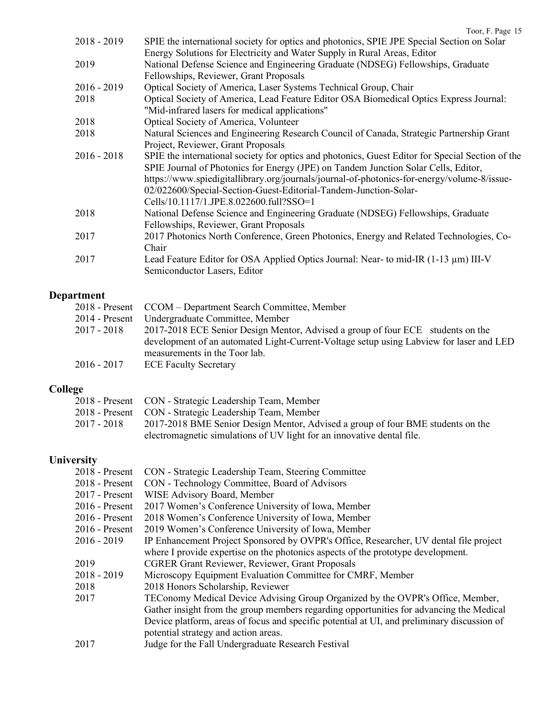| $2018 - 2019$ | SPIE the international society for optics and photonics, SPIE JPE Special Section on Solar<br>Energy Solutions for Electricity and Water Supply in Rural Areas, Editor                                                                                                                                                                                                                               |
|---------------|------------------------------------------------------------------------------------------------------------------------------------------------------------------------------------------------------------------------------------------------------------------------------------------------------------------------------------------------------------------------------------------------------|
| 2019          | National Defense Science and Engineering Graduate (NDSEG) Fellowships, Graduate<br>Fellowships, Reviewer, Grant Proposals                                                                                                                                                                                                                                                                            |
| $2016 - 2019$ | Optical Society of America, Laser Systems Technical Group, Chair                                                                                                                                                                                                                                                                                                                                     |
| 2018          | Optical Society of America, Lead Feature Editor OSA Biomedical Optics Express Journal:<br>"Mid-infrared lasers for medical applications"                                                                                                                                                                                                                                                             |
| 2018          | Optical Society of America, Volunteer                                                                                                                                                                                                                                                                                                                                                                |
| 2018          | Natural Sciences and Engineering Research Council of Canada, Strategic Partnership Grant<br>Project, Reviewer, Grant Proposals                                                                                                                                                                                                                                                                       |
| $2016 - 2018$ | SPIE the international society for optics and photonics, Guest Editor for Special Section of the<br>SPIE Journal of Photonics for Energy (JPE) on Tandem Junction Solar Cells, Editor,<br>https://www.spiedigitallibrary.org/journals/journal-of-photonics-for-energy/volume-8/issue-<br>02/022600/Special-Section-Guest-Editorial-Tandem-Junction-Solar-<br>Cells/10.1117/1.JPE.8.022600.full?SSO=1 |
| 2018          | National Defense Science and Engineering Graduate (NDSEG) Fellowships, Graduate<br>Fellowships, Reviewer, Grant Proposals                                                                                                                                                                                                                                                                            |
| 2017          | 2017 Photonics North Conference, Green Photonics, Energy and Related Technologies, Co-<br>Chair                                                                                                                                                                                                                                                                                                      |
| 2017          | Lead Feature Editor for OSA Applied Optics Journal: Near- to mid-IR (1-13 µm) III-V<br>Semiconductor Lasers, Editor                                                                                                                                                                                                                                                                                  |

| Department       |                                                                                                                          |
|------------------|--------------------------------------------------------------------------------------------------------------------------|
|                  | 2018 - Present CCOM – Department Search Committee, Member                                                                |
| $2014$ - Present | Undergraduate Committee, Member                                                                                          |
| $2017 - 2018$    | 2017-2018 ECE Senior Design Mentor, Advised a group of four ECE students on the                                          |
|                  | development of an automated Light-Current-Voltage setup using Labview for laser and LED<br>measurements in the Toor lab. |
| $2016 - 2017$    | <b>ECE Faculty Secretary</b>                                                                                             |

# **College**

|             | 2018 - Present CON - Strategic Leadership Team, Member                          |
|-------------|---------------------------------------------------------------------------------|
|             | 2018 - Present CON - Strategic Leadership Team, Member                          |
| 2017 - 2018 | 2017-2018 BME Senior Design Mentor, Advised a group of four BME students on the |
|             | electromagnetic simulations of UV light for an innovative dental file.          |
|             |                                                                                 |

## **University**

| CON - Strategic Leadership Team, Steering Committee                                         |
|---------------------------------------------------------------------------------------------|
| CON - Technology Committee, Board of Advisors                                               |
| WISE Advisory Board, Member                                                                 |
| 2017 Women's Conference University of Iowa, Member                                          |
| 2018 Women's Conference University of Iowa, Member                                          |
| 2019 Women's Conference University of Iowa, Member                                          |
| IP Enhancement Project Sponsored by OVPR's Office, Researcher, UV dental file project       |
| where I provide expertise on the photonics aspects of the prototype development.            |
| <b>CGRER Grant Reviewer, Reviewer, Grant Proposals</b>                                      |
| Microscopy Equipment Evaluation Committee for CMRF, Member                                  |
| 2018 Honors Scholarship, Reviewer                                                           |
| TEConomy Medical Device Advising Group Organized by the OVPR's Office, Member,              |
| Gather insight from the group members regarding opportunities for advancing the Medical     |
| Device platform, areas of focus and specific potential at UI, and preliminary discussion of |
| potential strategy and action areas.                                                        |
| Judge for the Fall Undergraduate Research Festival                                          |
|                                                                                             |